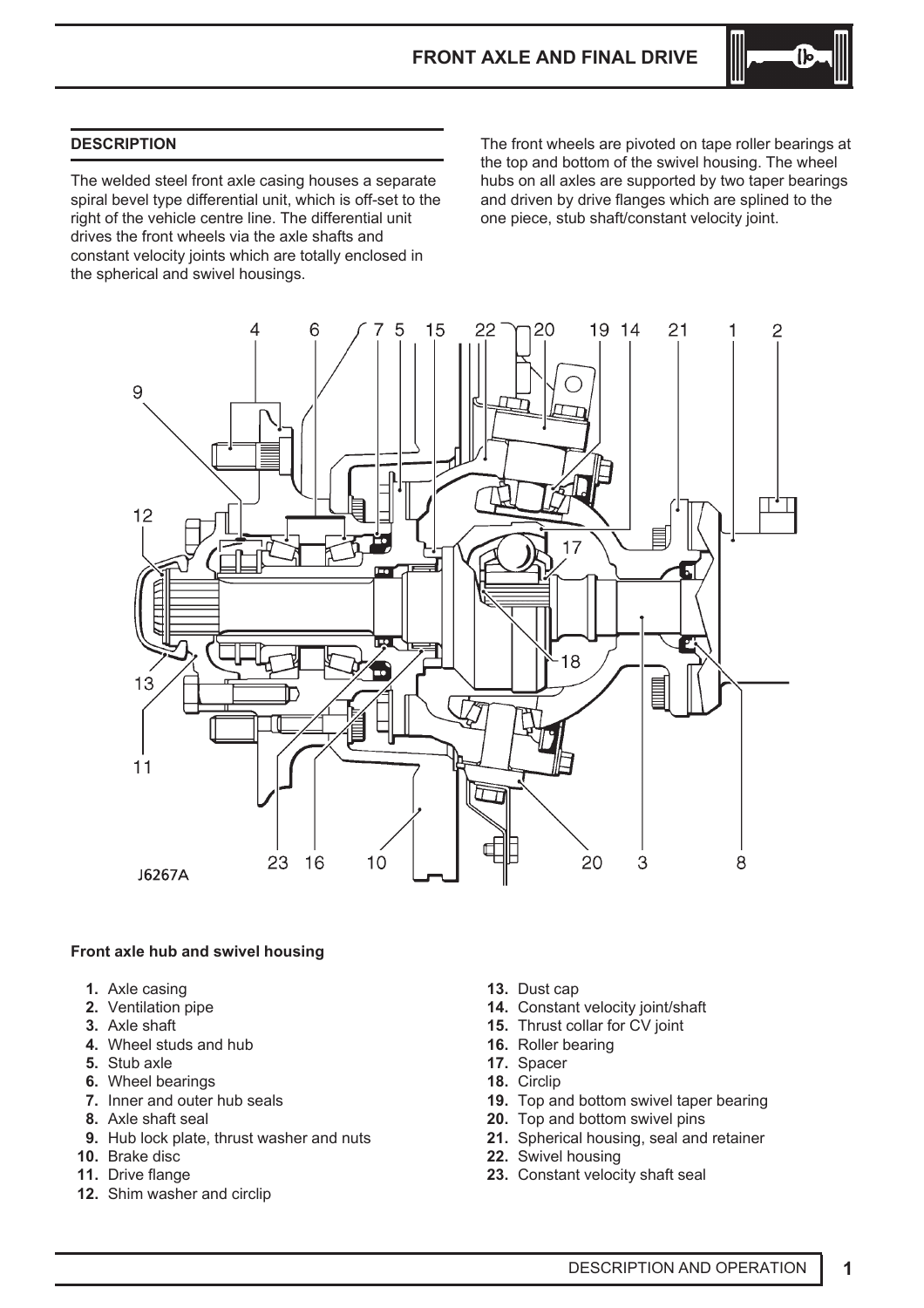

# **DESCRIPTION**

The welded steel front axle casing houses a separate spiral bevel type differential unit, which is off-set to the right of the vehicle centre line. The differential unit drives the front wheels via the axle shafts and constant velocity joints which are totally enclosed in the spherical and swivel housings.

The front wheels are pivoted on tape roller bearings at the top and bottom of the swivel housing. The wheel hubs on all axles are supported by two taper bearings and driven by drive flanges which are splined to the one piece, stub shaft/constant velocity joint.



# **Front axle hub and swivel housing**

- **1.** Axle casing
- **2.** Ventilation pipe
- **3.** Axle shaft
- **4.** Wheel studs and hub
- **5.** Stub axle
- **6.** Wheel bearings
- **7.** Inner and outer hub seals
- **8.** Axle shaft seal
- **9.** Hub lock plate, thrust washer and nuts
- **10.** Brake disc
- **11.** Drive flange
- **12.** Shim washer and circlip
- **13.** Dust cap
- **14.** Constant velocity joint/shaft
- **15.** Thrust collar for CV joint
- **16.** Roller bearing
- **17.** Spacer
- **18.** Circlip
- **19.** Top and bottom swivel taper bearing
- **20.** Top and bottom swivel pins
- **21.** Spherical housing, seal and retainer
- **22.** Swivel housing
- **23.** Constant velocity shaft seal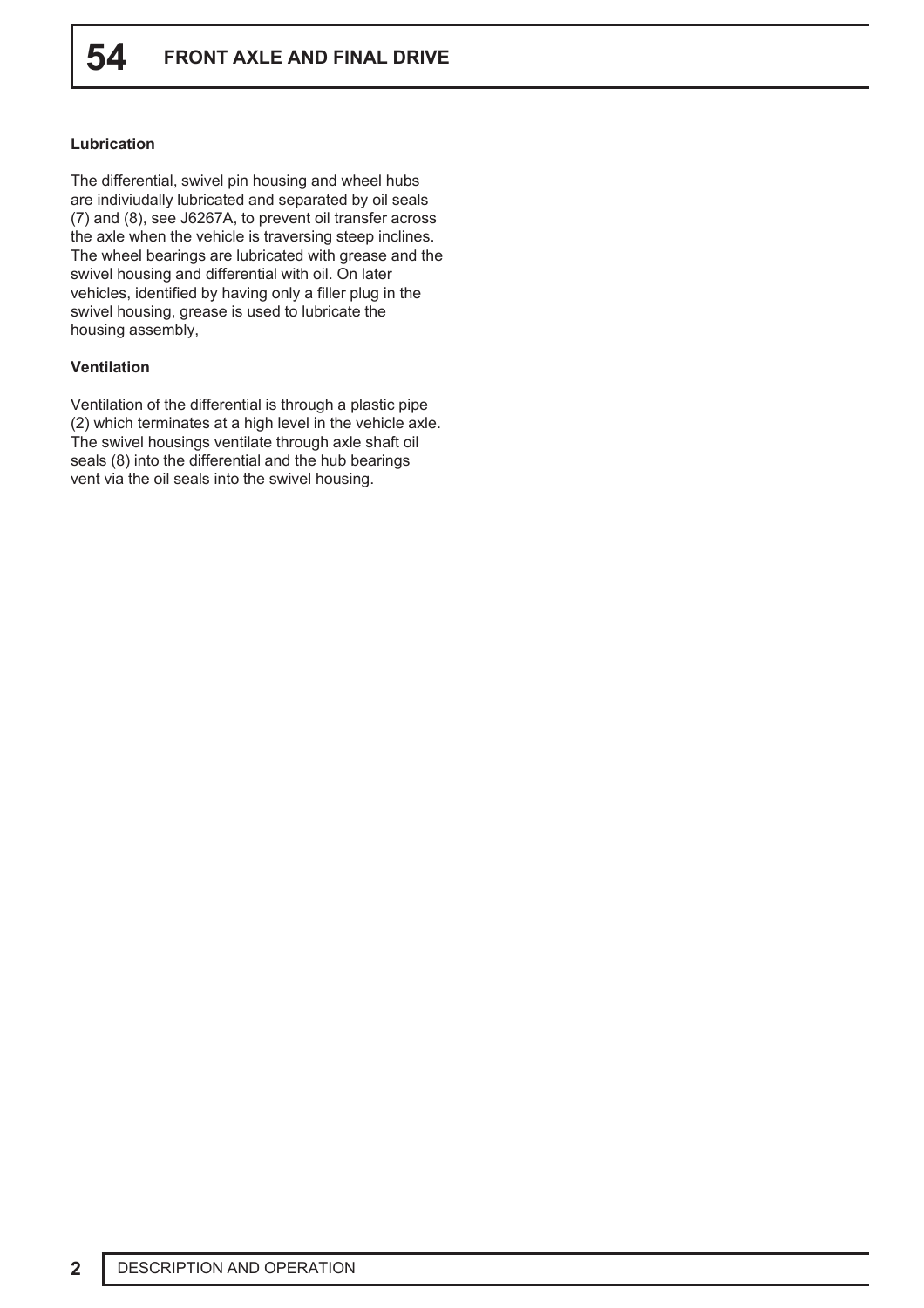# **Lubrication**

The differential, swivel pin housing and wheel hubs are indiviudally lubricated and separated by oil seals (7) and (8), see J6267A, to prevent oil transfer across the axle when the vehicle is traversing steep inclines. The wheel bearings are lubricated with grease and the swivel housing and differential with oil. On later vehicles, identified by having only a filler plug in the swivel housing, grease is used to lubricate the housing assembly,

# **Ventilation**

Ventilation of the differential is through a plastic pipe (2) which terminates at a high level in the vehicle axle. The swivel housings ventilate through axle shaft oil seals (8) into the differential and the hub bearings vent via the oil seals into the swivel housing.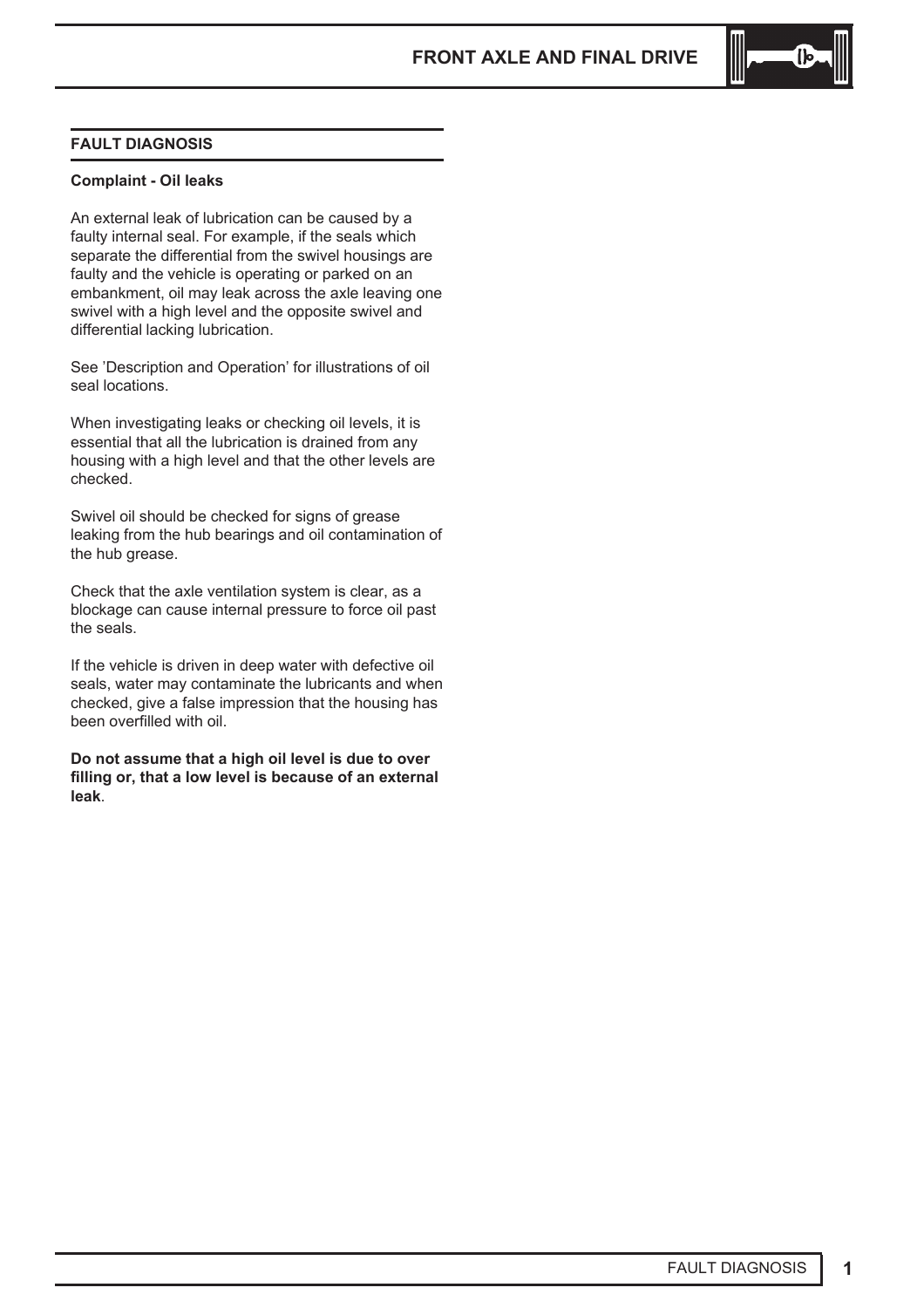

# **FAULT DIAGNOSIS**

### **Complaint - Oil leaks**

An external leak of lubrication can be caused by a faulty internal seal. For example, if the seals which separate the differential from the swivel housings are faulty and the vehicle is operating or parked on an embankment, oil may leak across the axle leaving one swivel with a high level and the opposite swivel and differential lacking lubrication.

See 'Description and Operation' for illustrations of oil seal locations.

When investigating leaks or checking oil levels, it is essential that all the lubrication is drained from any housing with a high level and that the other levels are checked.

Swivel oil should be checked for signs of grease leaking from the hub bearings and oil contamination of the hub grease.

Check that the axle ventilation system is clear, as a blockage can cause internal pressure to force oil past the seals.

If the vehicle is driven in deep water with defective oil seals, water may contaminate the lubricants and when checked, give a false impression that the housing has been overfilled with oil.

**Do not assume that a high oil level is due to over filling or, that a low level is because of an external leak**.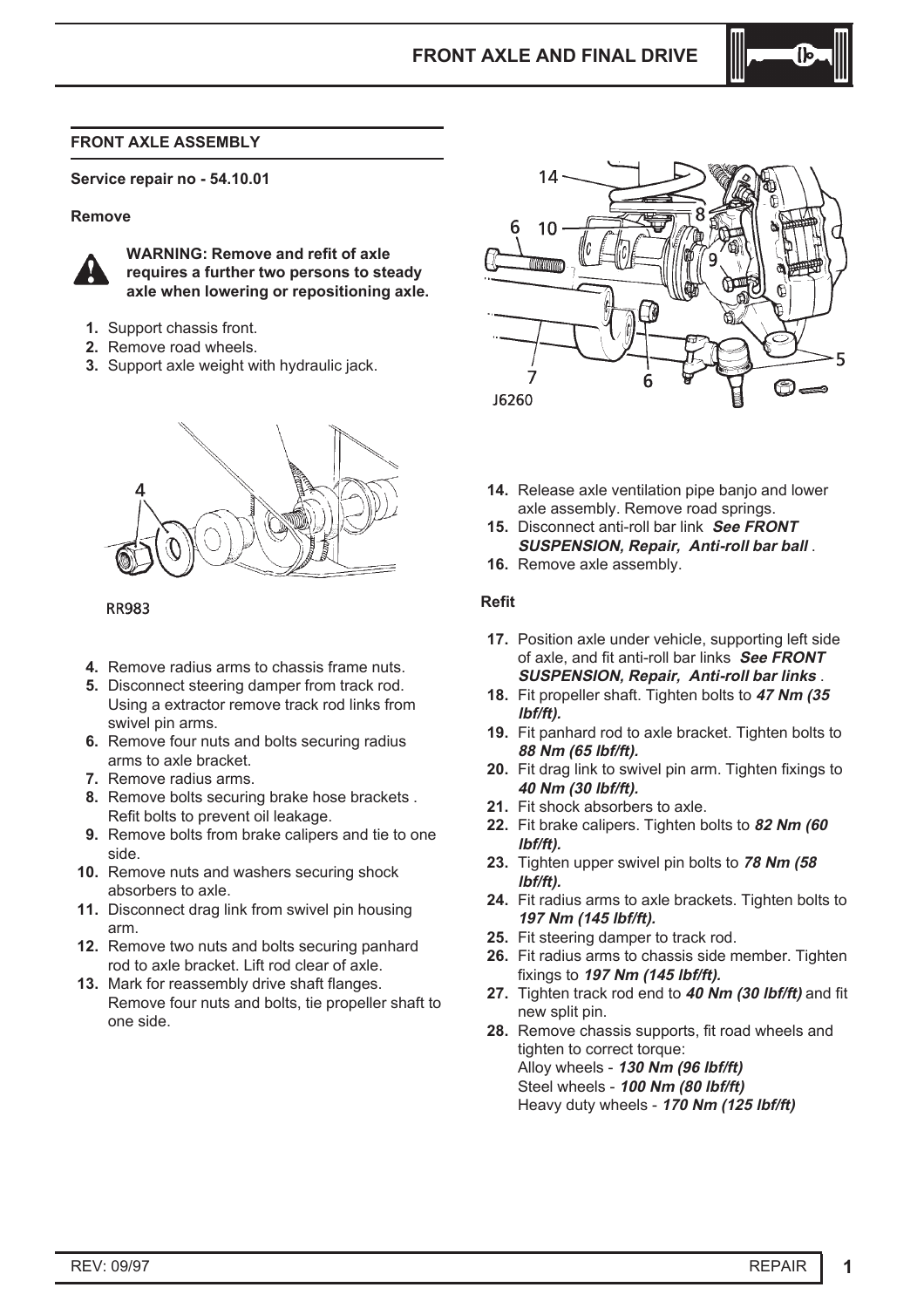

#### **FRONT AXLE ASSEMBLY**

**Service repair no - 54.10.01**

#### **Remove**



**WARNING: Remove and refit of axle requires a further two persons to steady axle when lowering or repositioning axle.**

- **1.** Support chassis front.
- **2.** Remove road wheels.
- **3.** Support axle weight with hydraulic jack.



**RR983** 

- **4.** Remove radius arms to chassis frame nuts.
- **5.** Disconnect steering damper from track rod. Using a extractor remove track rod links from swivel pin arms.
- **6.** Remove four nuts and bolts securing radius arms to axle bracket.
- **7.** Remove radius arms.
- **8.** Remove bolts securing brake hose brackets . Refit bolts to prevent oil leakage.
- **9.** Remove bolts from brake calipers and tie to one side.
- **10.** Remove nuts and washers securing shock absorbers to axle.
- **11.** Disconnect drag link from swivel pin housing arm.
- **12.** Remove two nuts and bolts securing panhard rod to axle bracket. Lift rod clear of axle.
- **13.** Mark for reassembly drive shaft flanges. Remove four nuts and bolts, tie propeller shaft to one side.



- **14.** Release axle ventilation pipe banjo and lower axle assembly. Remove road springs.
- **15.** Disconnect anti-roll bar link **See FRONT SUSPENSION, Repair, Anti-roll bar ball** .
- **16.** Remove axle assembly.

#### **Refit**

- **17.** Position axle under vehicle, supporting left side of axle, and fit anti-roll bar links **See FRONT SUSPENSION, Repair, Anti-roll bar links** .
- **18.** Fit propeller shaft. Tighten bolts to **47 Nm (35 lbf/ft).**
- **19.** Fit panhard rod to axle bracket. Tighten bolts to **88 Nm (65 lbf/ft).**
- **20.** Fit drag link to swivel pin arm. Tighten fixings to **40 Nm (30 lbf/ft).**
- **21.** Fit shock absorbers to axle.
- **22.** Fit brake calipers. Tighten bolts to **82 Nm (60 lbf/ft).**
- **23.** Tighten upper swivel pin bolts to **78 Nm (58 lbf/ft).**
- **24.** Fit radius arms to axle brackets. Tighten bolts to **197 Nm (145 lbf/ft).**
- **25.** Fit steering damper to track rod.
- **26.** Fit radius arms to chassis side member. Tighten fixings to **197 Nm (145 lbf/ft).**
- **27.** Tighten track rod end to **40 Nm (30 lbf/ft)** and fit new split pin.
- **28.** Remove chassis supports, fit road wheels and tighten to correct torque: Alloy wheels - **130 Nm (96 lbf/ft)** Steel wheels - **100 Nm (80 lbf/ft)** Heavy duty wheels - **170 Nm (125 lbf/ft)**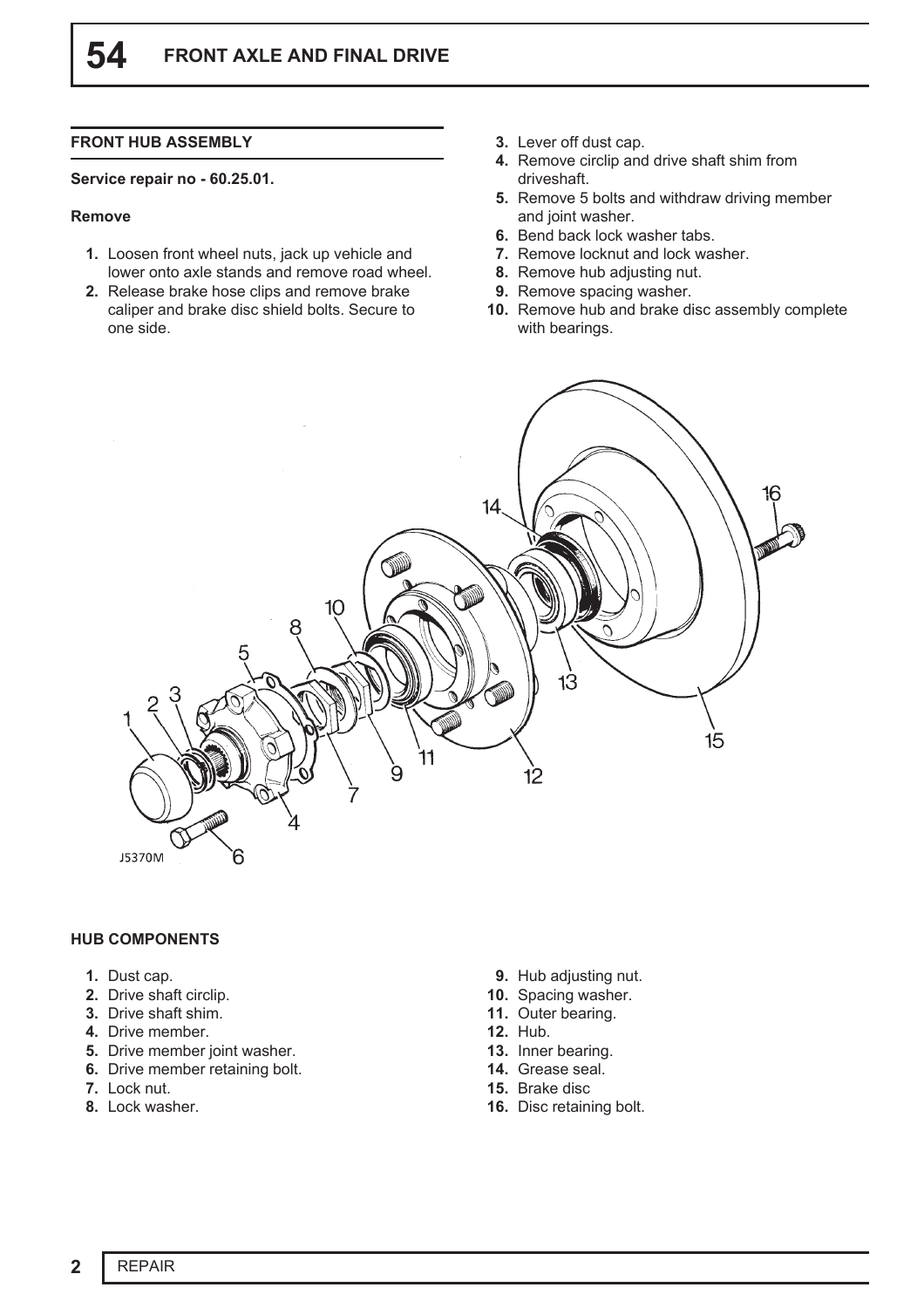# **FRONT HUB ASSEMBLY**

#### **Service repair no - 60.25.01.**

#### **Remove**

- **1.** Loosen front wheel nuts, jack up vehicle and lower onto axle stands and remove road wheel.
- **2.** Release brake hose clips and remove brake caliper and brake disc shield bolts. Secure to one side.
- **3.** Lever off dust cap.
- **4.** Remove circlip and drive shaft shim from driveshaft.
- **5.** Remove 5 bolts and withdraw driving member and joint washer.
- **6.** Bend back lock washer tabs.
- **7.** Remove locknut and lock washer.
- **8.** Remove hub adjusting nut.
- **9.** Remove spacing washer.
- **10.** Remove hub and brake disc assembly complete with bearings.



### **HUB COMPONENTS**

- **1.** Dust cap.
- **2.** Drive shaft circlip.
- **3.** Drive shaft shim.
- **4.** Drive member.
- **5.** Drive member joint washer.
- **6.** Drive member retaining bolt.
- **7.** Lock nut.
- **8.** Lock washer.
- **9.** Hub adjusting nut.
- **10.** Spacing washer.
- **11.** Outer bearing.
- **12.** Hub.
- **13.** Inner bearing.
- **14.** Grease seal.
- **15.** Brake disc
- **16.** Disc retaining bolt.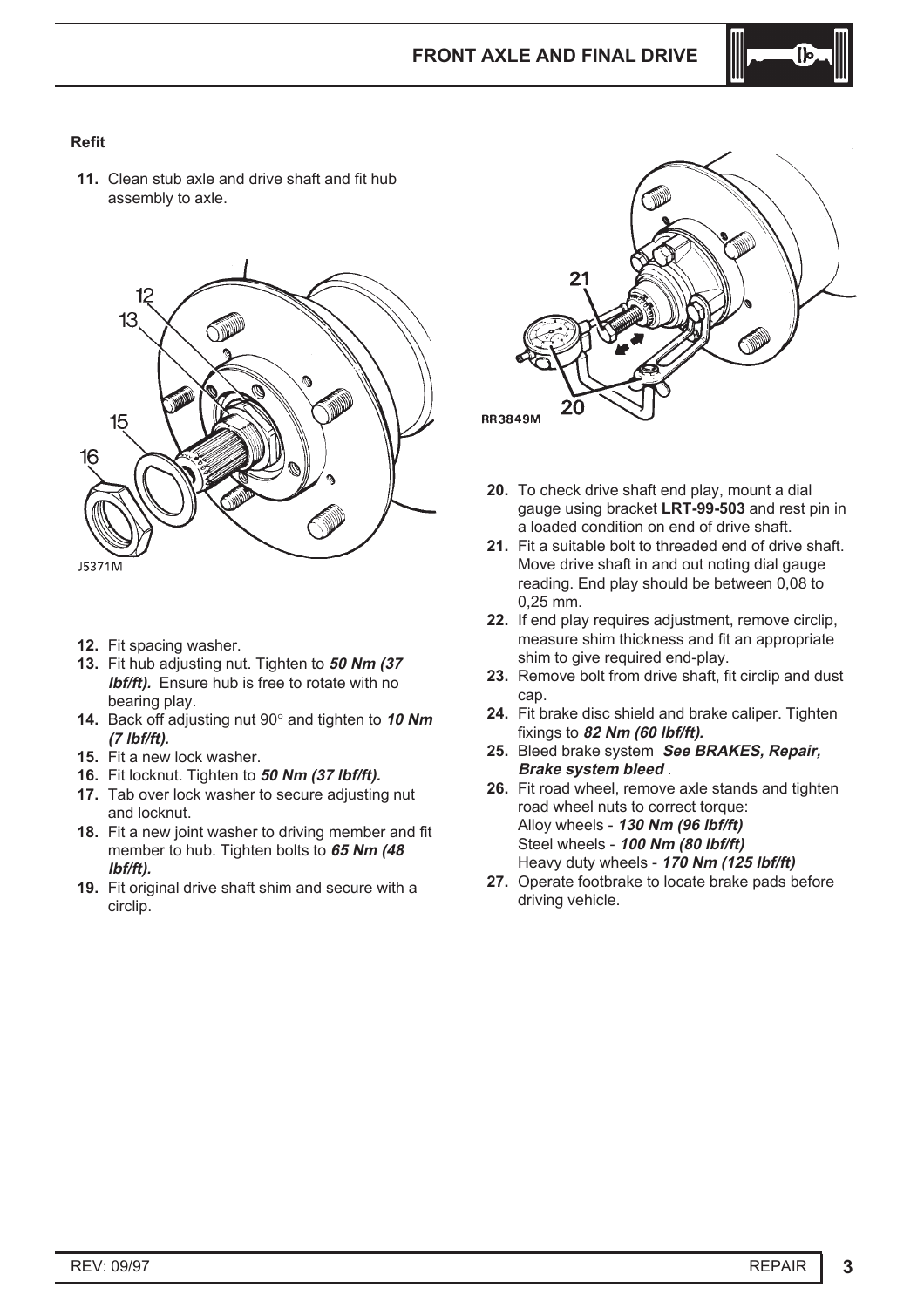

# **Refit**

**11.** Clean stub axle and drive shaft and fit hub assembly to axle.



- **12.** Fit spacing washer.
- **13.** Fit hub adjusting nut. Tighten to **50 Nm (37 lbf/ft).** Ensure hub is free to rotate with no bearing play.
- **14.** Back off adjusting nut 90° and tighten to **<sup>10</sup> Nm (7 lbf/ft).**
- **15.** Fit a new lock washer.
- **16.** Fit locknut. Tighten to **50 Nm (37 lbf/ft).**
- **17.** Tab over lock washer to secure adjusting nut and locknut.
- **18.** Fit a new joint washer to driving member and fit member to hub. Tighten bolts to **65 Nm (48 lbf/ft).**
- **19.** Fit original drive shaft shim and secure with a circlip.



- **20.** To check drive shaft end play, mount a dial gauge using bracket **LRT-99-503** and rest pin in a loaded condition on end of drive shaft.
- **21.** Fit a suitable bolt to threaded end of drive shaft. Move drive shaft in and out noting dial gauge reading. End play should be between 0,08 to 0,25 mm.
- **22.** If end play requires adjustment, remove circlip, measure shim thickness and fit an appropriate shim to give required end-play.
- **23.** Remove bolt from drive shaft, fit circlip and dust cap.
- **24.** Fit brake disc shield and brake caliper. Tighten fixings to **82 Nm (60 lbf/ft).**
- **25.** Bleed brake system **See BRAKES, Repair, Brake system bleed** .
- **26.** Fit road wheel, remove axle stands and tighten road wheel nuts to correct torque: Alloy wheels - **130 Nm (96 lbf/ft)** Steel wheels - **100 Nm (80 lbf/ft)** Heavy duty wheels - **170 Nm (125 lbf/ft)**
- **27.** Operate footbrake to locate brake pads before driving vehicle.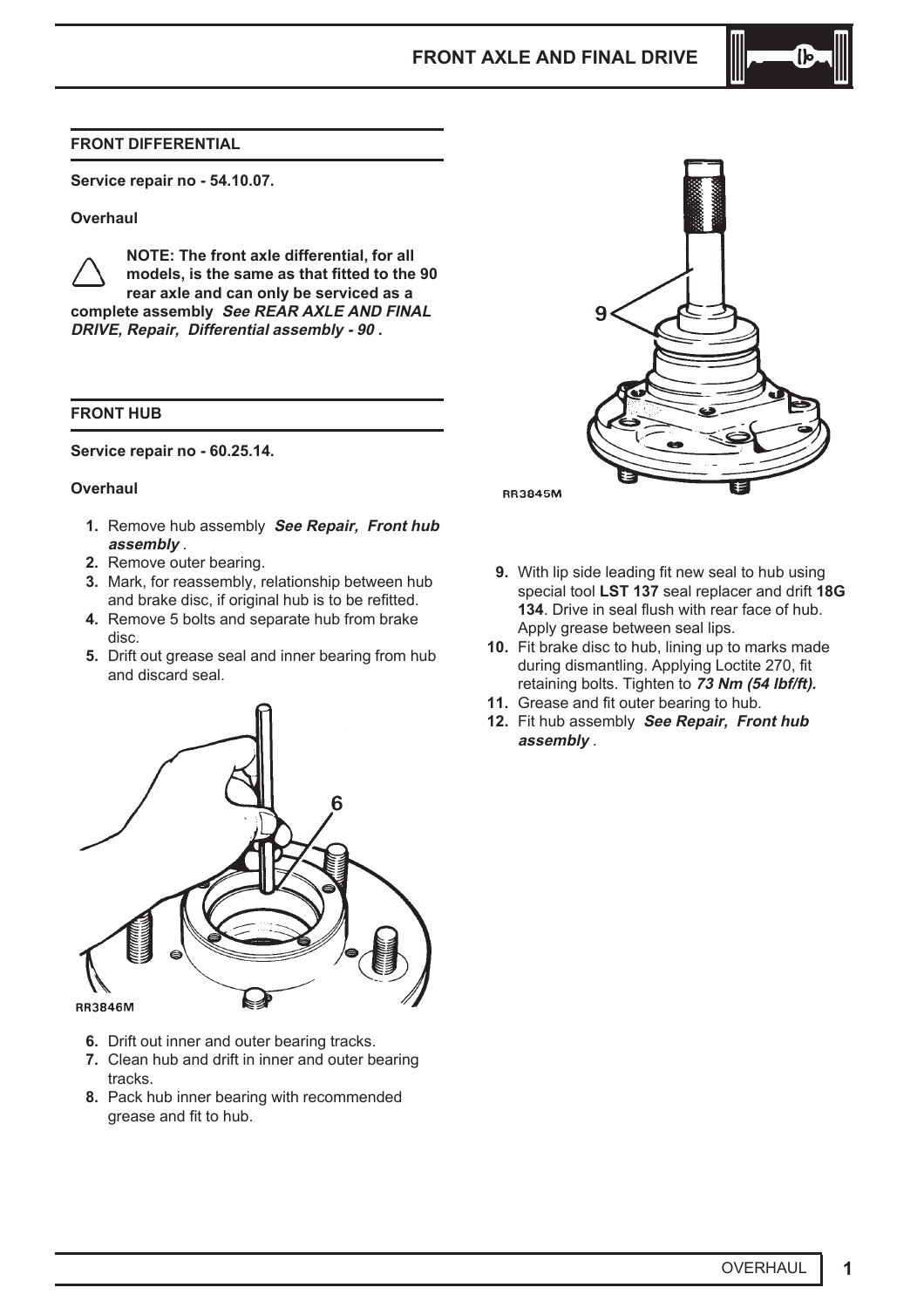## **FRONT DIFFERENTIAL**

**Service repair no - 54.10.07.**

#### **Overhaul**

**NOTE: The front axle differential, for all models, is the same as that fitted to the 90 rear axle and can only be serviced as a complete assembly See REAR AXLE AND FINAL DRIVE, Repair, Differential assembly - 90 .**

#### **FRONT HUB**

**Service repair no - 60.25.14.**

#### **Overhaul**

- **1.** Remove hub assembly **See Repair, Front hub assembly** .
- **2.** Remove outer bearing.
- **3.** Mark, for reassembly, relationship between hub and brake disc, if original hub is to be refitted.
- **4.** Remove 5 bolts and separate hub from brake disc.
- **5.** Drift out grease seal and inner bearing from hub and discard seal.



- **6.** Drift out inner and outer bearing tracks.
- **7.** Clean hub and drift in inner and outer bearing tracks.
- **8.** Pack hub inner bearing with recommended grease and fit to hub.



- **9.** With lip side leading fit new seal to hub using special tool **LST 137** seal replacer and drift **18G 134**. Drive in seal flush with rear face of hub. Apply grease between seal lips.
- **10.** Fit brake disc to hub, lining up to marks made during dismantling. Applying Loctite 270, fit retaining bolts. Tighten to **73 Nm (54 lbf/ft).**
- **11.** Grease and fit outer bearing to hub.
- **12.** Fit hub assembly **See Repair, Front hub assembly** .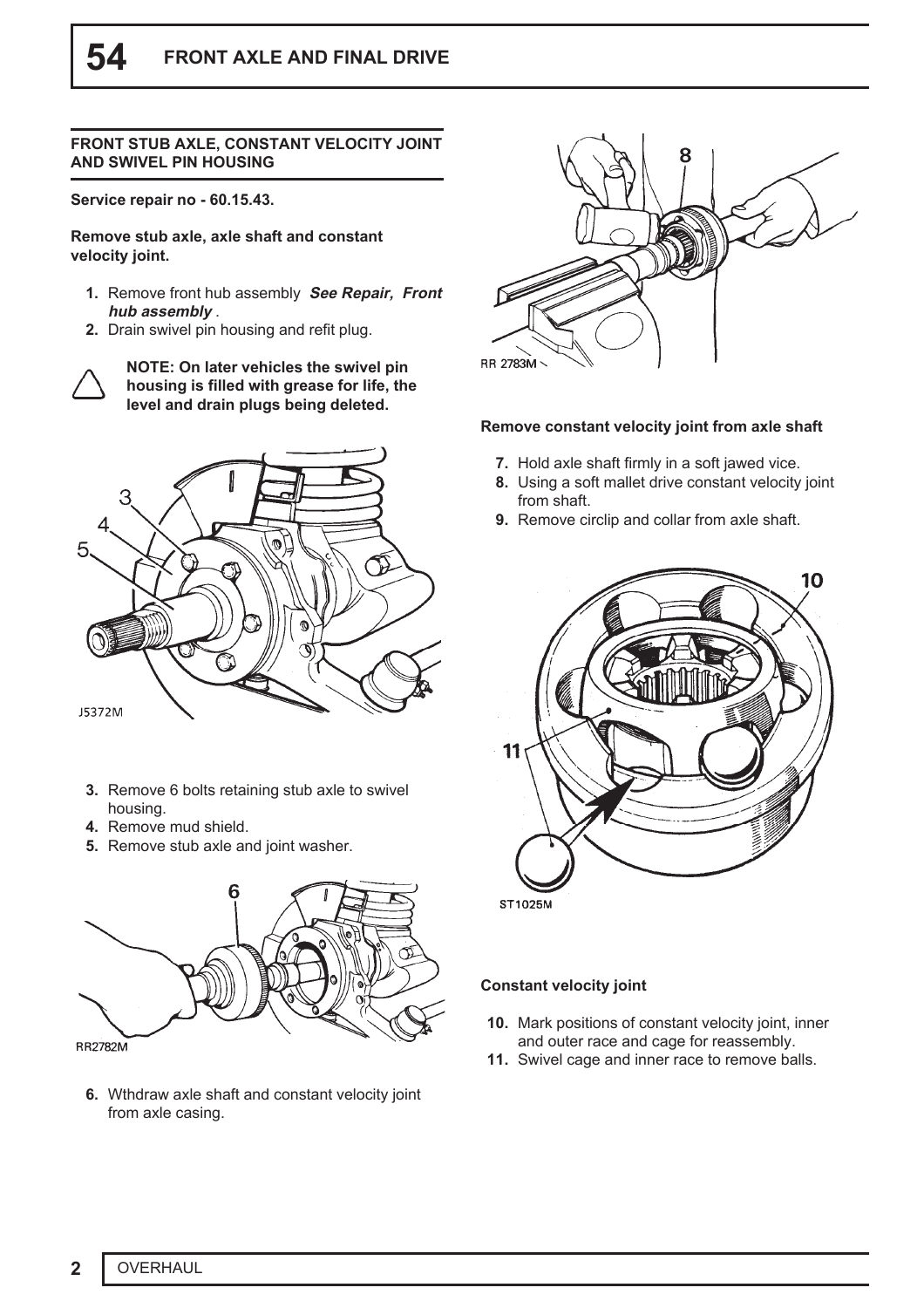#### **FRONT STUB AXLE, CONSTANT VELOCITY JOINT AND SWIVEL PIN HOUSING**

**Service repair no - 60.15.43.**

**Remove stub axle, axle shaft and constant velocity joint.**

- **1.** Remove front hub assembly **See Repair, Front hub assembly** .
- **2.** Drain swivel pin housing and refit plug.



**NOTE: On later vehicles the swivel pin housing is filled with grease for life, the level and drain plugs being deleted.**



- **3.** Remove 6 bolts retaining stub axle to swivel housing.
- **4.** Remove mud shield.
- **5.** Remove stub axle and joint washer.



**6.** Wthdraw axle shaft and constant velocity joint from axle casing.



#### **Remove constant velocity joint from axle shaft**

- **7.** Hold axle shaft firmly in a soft jawed vice.
- **8.** Using a soft mallet drive constant velocity joint from shaft.
- **9.** Remove circlip and collar from axle shaft.



# **Constant velocity joint**

- **10.** Mark positions of constant velocity joint, inner and outer race and cage for reassembly.
- **11.** Swivel cage and inner race to remove balls.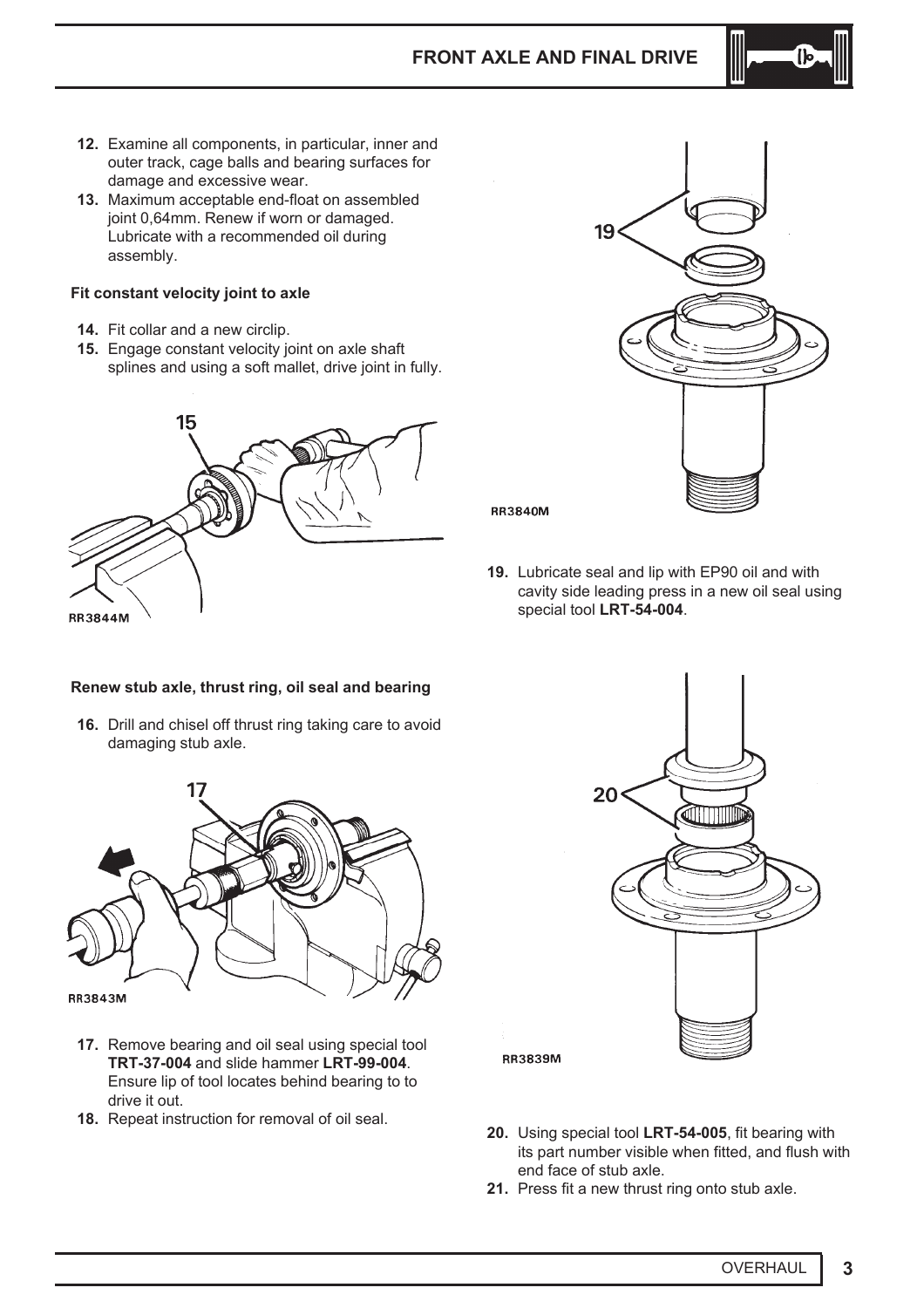

- **12.** Examine all components, in particular, inner and outer track, cage balls and bearing surfaces for damage and excessive wear.
- **13.** Maximum acceptable end-float on assembled joint 0,64mm. Renew if worn or damaged. Lubricate with a recommended oil during assembly.

### **Fit constant velocity joint to axle**

- **14.** Fit collar and a new circlip.
- **15.** Engage constant velocity joint on axle shaft splines and using a soft mallet, drive joint in fully.





**RR3840M** 

**19.** Lubricate seal and lip with EP90 oil and with cavity side leading press in a new oil seal using special tool **LRT-54-004**.

### **Renew stub axle, thrust ring, oil seal and bearing**

**16.** Drill and chisel off thrust ring taking care to avoid damaging stub axle.



- **17.** Remove bearing and oil seal using special tool **TRT-37-004** and slide hammer **LRT-99-004**. Ensure lip of tool locates behind bearing to to drive it out.
- **18.** Repeat instruction for removal of oil seal.



**RR3839M** 

- **20.** Using special tool **LRT-54-005**, fit bearing with its part number visible when fitted, and flush with end face of stub axle.
- **21.** Press fit a new thrust ring onto stub axle.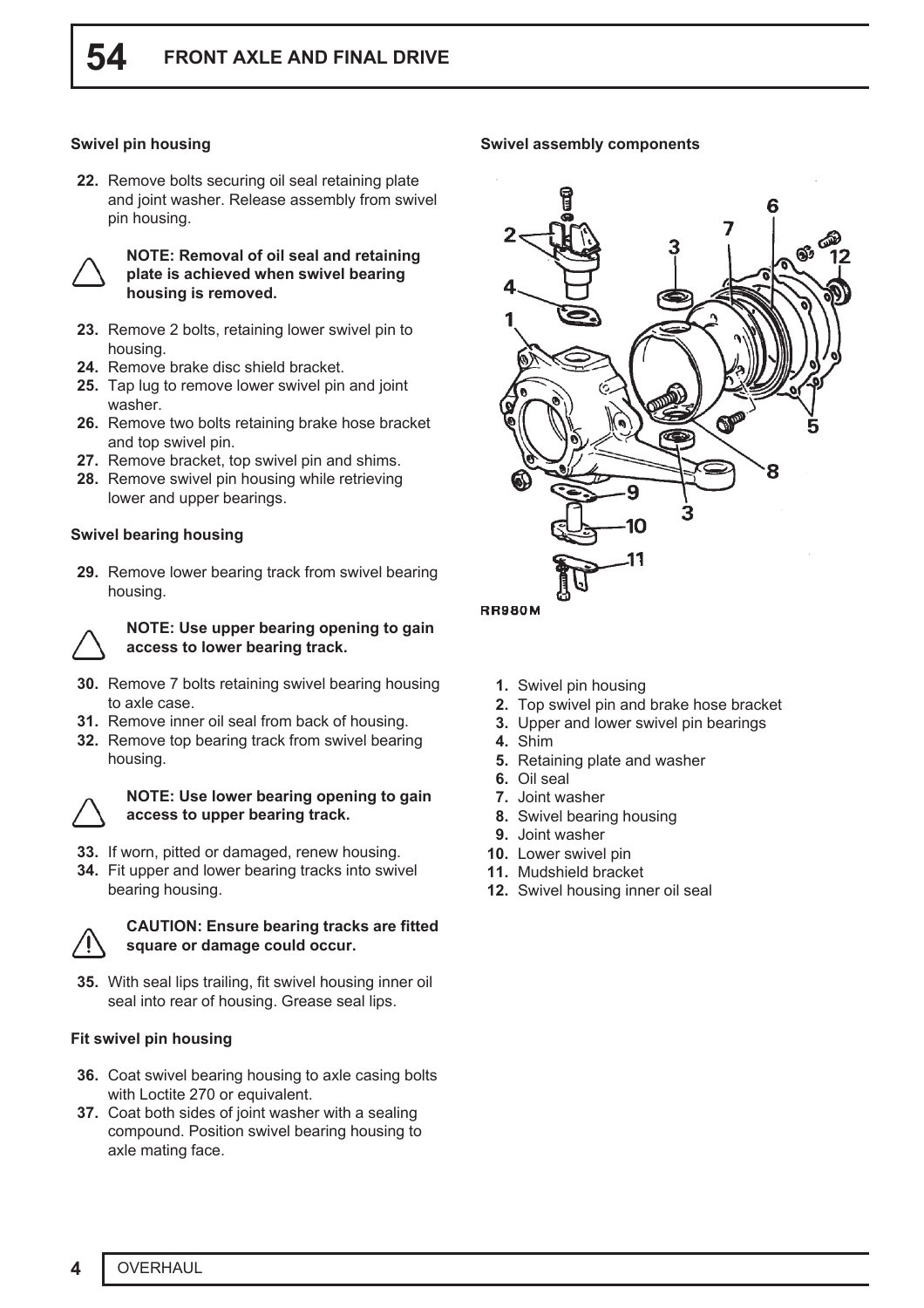# **Swivel pin housing**

**22.** Remove bolts securing oil seal retaining plate and joint washer. Release assembly from swivel pin housing.



#### **NOTE: Removal of oil seal and retaining plate is achieved when swivel bearing housing is removed.**

- **23.** Remove 2 bolts, retaining lower swivel pin to housing.
- **24.** Remove brake disc shield bracket.
- **25.** Tap lug to remove lower swivel pin and joint washer.
- **26.** Remove two bolts retaining brake hose bracket and top swivel pin.
- **27.** Remove bracket, top swivel pin and shims.
- **28.** Remove swivel pin housing while retrieving lower and upper bearings.

# **Swivel bearing housing**

**29.** Remove lower bearing track from swivel bearing housing.



#### **NOTE: Use upper bearing opening to gain access to lower bearing track.**

- **30.** Remove 7 bolts retaining swivel bearing housing to axle case.
- **31.** Remove inner oil seal from back of housing.
- **32.** Remove top bearing track from swivel bearing housing.



#### **NOTE: Use lower bearing opening to gain access to upper bearing track.**

- **33.** If worn, pitted or damaged, renew housing.
- **34.** Fit upper and lower bearing tracks into swivel bearing housing.



# **CAUTION: Ensure bearing tracks are fitted square or damage could occur.**

**35.** With seal lips trailing, fit swivel housing inner oil seal into rear of housing. Grease seal lips.

# **Fit swivel pin housing**

- **36.** Coat swivel bearing housing to axle casing bolts with Loctite 270 or equivalent.
- **37.** Coat both sides of joint washer with a sealing compound. Position swivel bearing housing to axle mating face.

#### **Swivel assembly components**



- **1.** Swivel pin housing
- **2.** Top swivel pin and brake hose bracket
- **3.** Upper and lower swivel pin bearings
- **4.** Shim
- **5.** Retaining plate and washer
- **6.** Oil seal
- **7.** Joint washer
- **8.** Swivel bearing housing
- **9.** Joint washer
- **10.** Lower swivel pin
- **11.** Mudshield bracket
- **12.** Swivel housing inner oil seal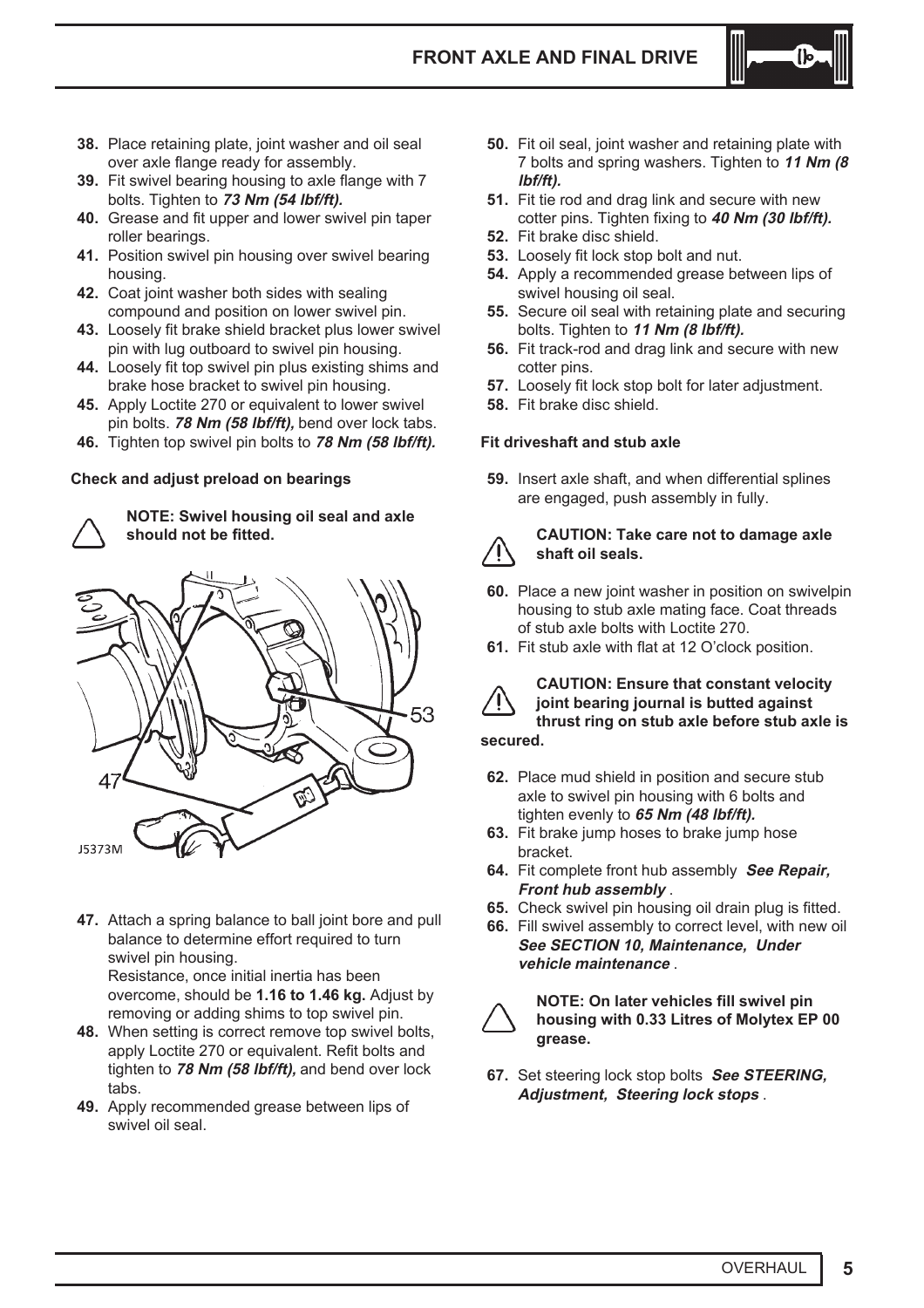

- **38.** Place retaining plate, joint washer and oil seal over axle flange ready for assembly.
- **39.** Fit swivel bearing housing to axle flange with 7 bolts. Tighten to **73 Nm (54 lbf/ft).**
- **40.** Grease and fit upper and lower swivel pin taper roller bearings.
- **41.** Position swivel pin housing over swivel bearing housing.
- **42.** Coat joint washer both sides with sealing compound and position on lower swivel pin.
- **43.** Loosely fit brake shield bracket plus lower swivel pin with lug outboard to swivel pin housing.
- **44.** Loosely fit top swivel pin plus existing shims and brake hose bracket to swivel pin housing.
- **45.** Apply Loctite 270 or equivalent to lower swivel pin bolts. **78 Nm (58 lbf/ft),** bend over lock tabs.
- **46.** Tighten top swivel pin bolts to **78 Nm (58 lbf/ft).**

# **Check and adjust preload on bearings**



**NOTE: Swivel housing oil seal and axle should not be fitted.**



**47.** Attach a spring balance to ball joint bore and pull balance to determine effort required to turn swivel pin housing.

Resistance, once initial inertia has been overcome, should be **1.16 to 1.46 kg.** Adjust by removing or adding shims to top swivel pin.

- **48.** When setting is correct remove top swivel bolts, apply Loctite 270 or equivalent. Refit bolts and tighten to **78 Nm (58 lbf/ft),** and bend over lock tabs.
- **49.** Apply recommended grease between lips of swivel oil seal.
- **50.** Fit oil seal, joint washer and retaining plate with 7 bolts and spring washers. Tighten to **11 Nm (8 lbf/ft).**
- **51.** Fit tie rod and drag link and secure with new cotter pins. Tighten fixing to **40 Nm (30 lbf/ft).**
- **52.** Fit brake disc shield.
- **53.** Loosely fit lock stop bolt and nut.
- **54.** Apply a recommended grease between lips of swivel housing oil seal.
- **55.** Secure oil seal with retaining plate and securing bolts. Tighten to **11 Nm (8 lbf/ft).**
- **56.** Fit track-rod and drag link and secure with new cotter pins.
- **57.** Loosely fit lock stop bolt for later adjustment.
- **58.** Fit brake disc shield.

# **Fit driveshaft and stub axle**

**59.** Insert axle shaft, and when differential splines are engaged, push assembly in fully.



# **CAUTION: Take care not to damage axle shaft oil seals.**

- **60.** Place a new joint washer in position on swivelpin housing to stub axle mating face. Coat threads of stub axle bolts with Loctite 270.
- **61.** Fit stub axle with flat at 12 O'clock position.



# **CAUTION: Ensure that constant velocity joint bearing journal is butted against thrust ring on stub axle before stub axle is**

**secured.**

- **62.** Place mud shield in position and secure stub axle to swivel pin housing with 6 bolts and tighten evenly to **65 Nm (48 lbf/ft).**
- **63.** Fit brake jump hoses to brake jump hose bracket.
- **64.** Fit complete front hub assembly **See Repair, Front hub assembly** .
- **65.** Check swivel pin housing oil drain plug is fitted.
- **66.** Fill swivel assembly to correct level, with new oil **See SECTION 10, Maintenance, Under vehicle maintenance** .



**NOTE: On later vehicles fill swivel pin housing with 0.33 Litres of Molytex EP 00 grease.**

**67.** Set steering lock stop bolts **See STEERING, Adjustment, Steering lock stops** .